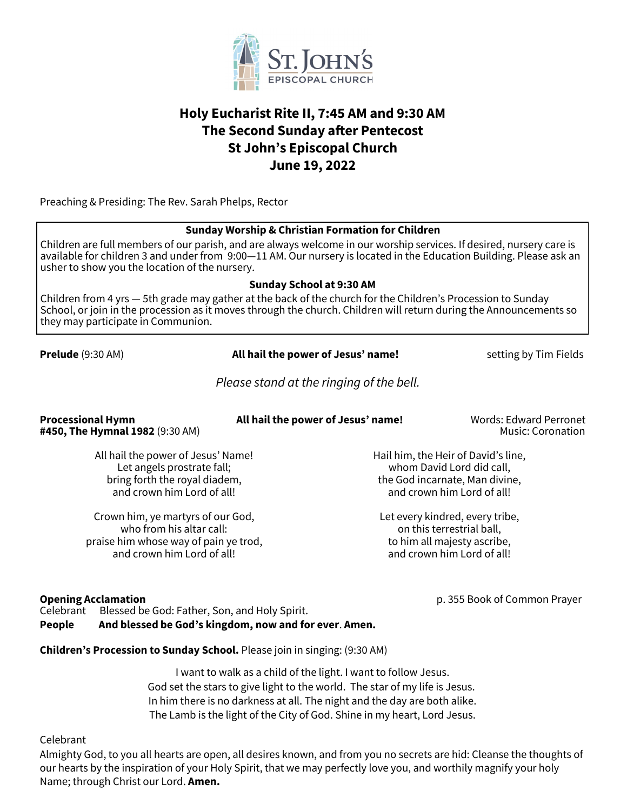

# **Holy Eucharist Rite II, 7:45 AM and 9:30 AM The Second Sunday after Pentecost St John's Episcopal Church June 19, 2022**

Preaching & Presiding: The Rev. Sarah Phelps, Rector

## **Sunday Worship & Christian Formation for Children**

Children are full members of our parish, and are always welcome in our worship services. If desired, nursery care is available for children 3 and under from 9:00-11 AM. Our nursery is located in the Education Building. Please ask an usher to show you the location of the nursery.

## **Sunday School at 9:30 AM**

Children from 4 yrs — 5th grade may gather at the back of the church for the Children's Procession to Sunday School, or join in the procession as it moves through the church. Children will return during the Announcements so they may participate in Communion.

## **Prelude** (9:30 AM) **All hail the power of Jesus' name!** setting by Tim Fields

 *Please stand at the ringing of the bell.*

| All hail the power of Jesus' name!<br>Processional Hymn<br>#450, The Hymnal 1982 (9:30 AM) | Words: Edward Perronet<br>Music: Coronation |
|--------------------------------------------------------------------------------------------|---------------------------------------------|
|--------------------------------------------------------------------------------------------|---------------------------------------------|

All hail the power of Jesus' Name! Let angels prostrate fall; bring forth the royal diadem, and crown him Lord of all!

Crown him, ye martyrs of our God, who from his altar call: praise him whose way of pain ye trod, and crown him Lord of all!

Hail him, the Heir of David's line, whom David Lord did call, the God incarnate, Man divine, and crown him Lord of all!

Let every kindred, every tribe, on this terrestrial ball, to him all majesty ascribe, and crown him Lord of all!

Celebrant Blessed be God: Father, Son, and Holy Spirit.

## **People And blessed be God's kingdom, now and for ever**. **Amen.**

**Children's Procession to Sunday School.** Please join in singing: (9:30 AM)

I want to walk as a child of the light. I want to follow Jesus. God set the stars to give light to the world. The star of my life is Jesus. In him there is no darkness at all. The night and the day are both alike. The Lamb is the light of the City of God. Shine in my heart, Lord Jesus.

Celebrant

Almighty God, to you all hearts are open, all desires known, and from you no secrets are hid: Cleanse the thoughts of our hearts by the inspiration of your Holy Spirit, that we may perfectly love you, and worthily magnify your holy Name; through Christ our Lord. **Amen.**

**Opening Acclamation** p. 355 Book of Common Prayer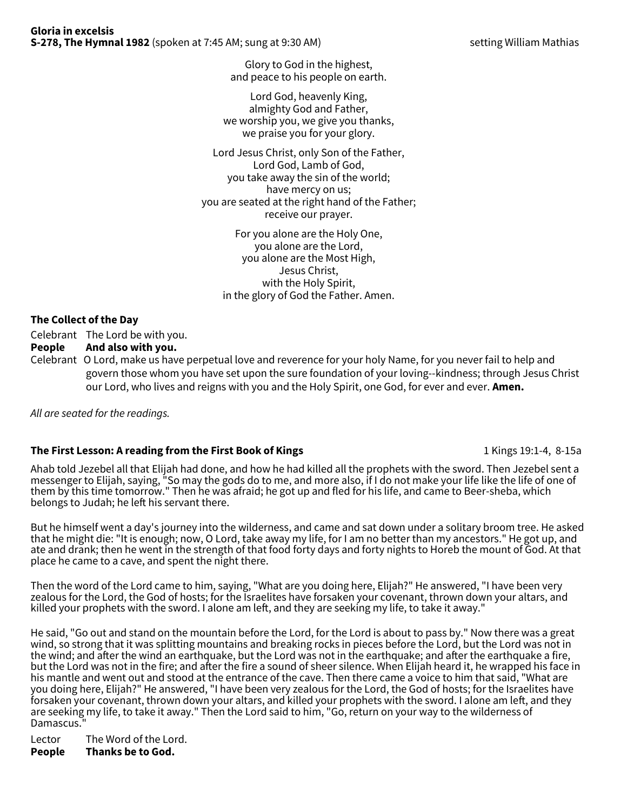Glory to God in the highest, and peace to his people on earth.

Lord God, heavenly King, almighty God and Father, we worship you, we give you thanks, we praise you for your glory.

Lord Jesus Christ, only Son of the Father, Lord God, Lamb of God, you take away the sin of the world; have mercy on us; you are seated at the right hand of the Father; receive our prayer.

> For you alone are the Holy One, you alone are the Lord, you alone are the Most High, Jesus Christ, with the Holy Spirit, in the glory of God the Father. Amen.

## **The Collect of the Day**

Celebrant The Lord be with you. **People And also with you.**

Celebrant O Lord, make us have perpetual love and reverence for your holy Name, for you never fail to help and govern those whom you have set upon the sure foundation of your loving-kindness; through Jesus Christ our Lord, who lives and reigns with you and the Holy Spirit, one God, for ever and ever. **Amen.**

*All are seated for the readings.*

## **The First Lesson: A reading from the First Book of Kings** 1 Kings 19:1-4, 8-15a

Ahab told Jezebel all that Elijah had done, and how he had killed all the prophets with the sword. Then Jezebel sent a messenger to Elijah, saying, "So may the gods do to me, and more also, if I do not make your life like the life of one of them by this time tomorrow." Then he was afraid; he got up and fled for his life, and came to Beer-sheba, which belongs to Judah; he left his servant there.

But he himself went a day's journey into the wilderness, and came and sat down under a solitary broom tree. He asked that he might die: "It is enough; now, O Lord, take away my life, for I am no better than my ancestors." He got up, and ate and drank; then he went in the strength of that food forty days and forty nights to Horeb the mount of God. At that place he came to a cave, and spent the night there.

Then the word of the Lord came to him, saying, "What are you doing here, Elijah?" He answered, "I have been very zealous for the Lord, the God of hosts; for the Israelites have forsaken your covenant, thrown down your altars, and killed your prophets with the sword. I alone am left, and they are seeking my life, to take it away."

He said, "Go out and stand on the mountain before the Lord, for the Lord is about to pass by." Now there was a great wind, so strong that it was splitting mountains and breaking rocks in pieces before the Lord, but the Lord was not in the wind; and after the wind an earthquake, but the Lord was not in the earthquake; and after the earthquake a fire, but the Lord was not in the fire; and after the fire a sound of sheer silence. When Elijah heard it, he wrapped his face in his mantle and went out and stood at the entrance of the cave. Then there came a voice to him that said, "What are you doing here, Elijah?" He answered, "I have been very zealous for the Lord, the God of hosts; for the Israelites have forsaken your covenant, thrown down your altars, and killed your prophets with the sword. I alone am left, and they are seeking my life, to take it away." Then the Lord said to him, "Go, return on your way to the wilderness of Damascus."

Lector The Word of the Lord. **People Thanks be to God.**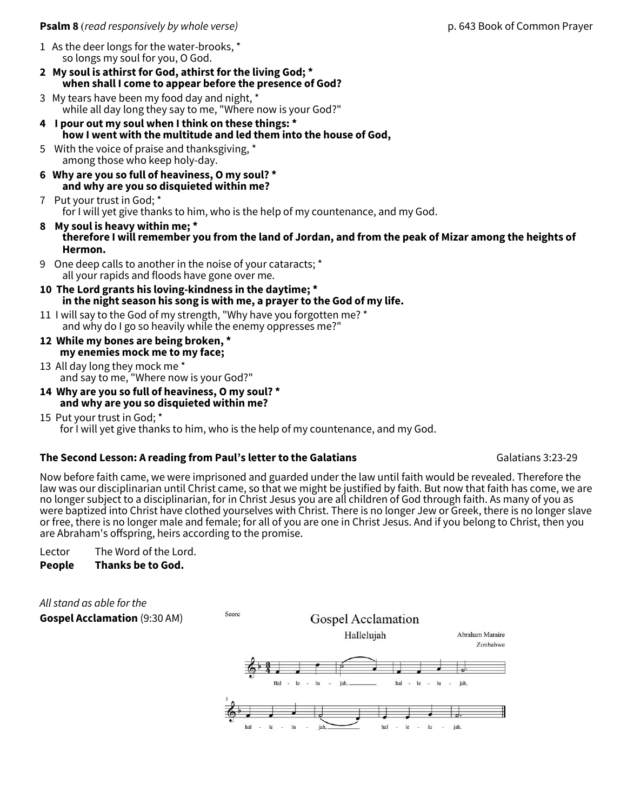## **Psalm 8** (*read responsively by whole verse)* p. 643 Book of Common Prayer

- 1 As the deer longs for the water-brooks, \* so longs my soul for you, O God.
- **2 My soul is athirst for God, athirst for the living God; \* when shall I come to appear before the presence of God?**
- 3 My tears have been my food day and night, \* while all day long they say to me, "Where now is your God?"
- **4 I pour out my soul when I think on these things: \* how I went with the multitude and led them into the house of God,**
- 5 With the voice of praise and thanksgiving, \* among those who keep holy-day.
- **6 Why are you so full of heaviness, O my soul? \* and why are you so disquieted within me?**

## 7 Put your trust in God; \* for I will yet give thanks to him, who is the help of my countenance, and my God.

- **8 My soul is heavy within me; \* therefore I will remember you from the land of Jordan, and from the peak of Mizar among the heights of Hermon.**
- 9 One deep calls to another in the noise of your cataracts; \* all your rapids and floods have gone over me.
- **10 The Lord grants his loving-kindness in the daytime; \* in the night season his song is with me, a prayer to the God of my life.**
- 11 I will say to the God of my strength, "Why have you forgotten me? \* and why do I go so heavily while the enemy oppresses me?"
- **12 While my bones are being broken, \* my enemies mock me to my face;**
- 13 All day long they mock me \* and say to me, "Where now is your God?"
- **14 Why are you so full of heaviness, O my soul? \* and why are you so disquieted within me?**
- 15 Put your trust in God; \* for I will yet give thanks to him, who is the help of my countenance, and my God.

## **The Second Lesson: A reading from Paul's letter to the Galatians** Galatians 3:23-29

Now before faith came, we were imprisoned and guarded under the law until faith would be revealed. Therefore the law was our disciplinarian until Christ came, so that we might be justified by faith. But now that faith has come, we are no longer subject to a disciplinarian, for in Christ Jesus you are all children of God through faith. As many of you as were baptized into Christ have clothed yourselves with Christ. There is no longer Jew or Greek, there is no longer slave or free, there is no longer male and female; for all of you are one in Christ Jesus. And if you belong to Christ, then you are Abraham's offspring, heirs according to the promise.

Lector The Word of the Lord. **People Thanks be to God.** 

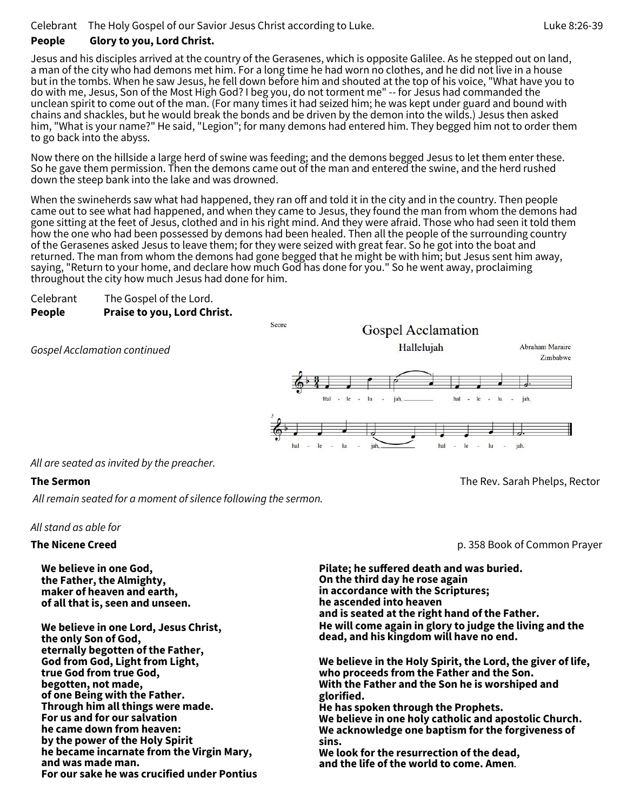Celebrant The Holy Gospel of our Savior Jesus Christ according to Luke. Luke 2001 Luke 8:26-39

## **People Glory to you, Lord Christ.**

Jesus and his disciples arrived at the country of the Gerasenes, which is opposite Galilee. As he stepped out on land, a man of the city who had demons met him. For a long time he had worn no clothes, and he did not live in a house but in the tombs. When he saw Jesus, he fell down before him and shouted at the top of his voice, "What have you to do with me, Jesus, Son of the Most High God? I beg you, do not torment me" -- for Jesus had commanded the unclean spirit to come out of the man. (For many times it had seized him; he was kept under guard and bound with chains and shackles, but he would break the bonds and be driven by the demon into the wilds.) Jesus then asked him, "What is your name?" He said, "Legion"; for many demons had entered him. They begged him not to order them to go back into the abyss.

Now there on the hillside a large herd of swine was feeding; and the demons begged Jesus to let them enter these. So he gave them permission. Then the demons came out of the man and entered the swine, and the herd rushed down the steep bank into the lake and was drowned.

When the swineherds saw what had happened, they ran off and told it in the city and in the country. Then people came out to see what had happened, and when they came to Jesus, they found the man from whom the demons had gone sitting at the feet of Jesus, clothed and in his right mind. And they were afraid. Those who had seen it told them how the one who had been possessed by demons had been healed. Then all the people of the surrounding country of the Gerasenes asked Jesus to leave them; for they were seized with great fear. So he got into the boat and returned. The man from whom the demons had gone begged that he might be with him; but Jesus sent him away, saying, "Return to your home, and declare how much God has done for you." So he went away, proclaiming throughout the city how much Jesus had done for him.





*All are seated as invited by the preacher.*

*All remain seated for a moment of silence following the sermon.*

### *All stand as able for*

**We believe in one God, the Father, the Almighty, maker of heaven and earth, of all that is, seen and unseen.**

**We believe in one Lord, Jesus Christ, the only Son of God, eternally begotten of the Father, God from God, Light from Light, true God from true God, begotten, not made, of one Being with the Father. Through him all things were made. For us and for our salvation he came down from heaven: by the power of the Holy Spirit he became incarnate from the Virgin Mary, and was made man. For our sake he was crucified under Pontius** 

**The Sermon** The Rev. Sarah Phelps, Rector

**The Nicene Creed** p. 358 Book of Common Prayer

**Pilate; he suffered death and was buried. On the third day he rose again in accordance with the Scriptures; he ascended into heaven and is seated at the right hand of the Father. He will come again in glory to judge the living and the dead, and his kingdom will have no end.**

**We believe in the Holy Spirit, the Lord, the giver of life, who proceeds from the Father and the Son. With the Father and the Son he is worshiped and glorified. He has spoken through the Prophets. We believe in one holy catholic and apostolic Church. We acknowledge one baptism for the forgiveness of** 

**sins. We look for the resurrection of the dead, and the life of the world to come. Amen**.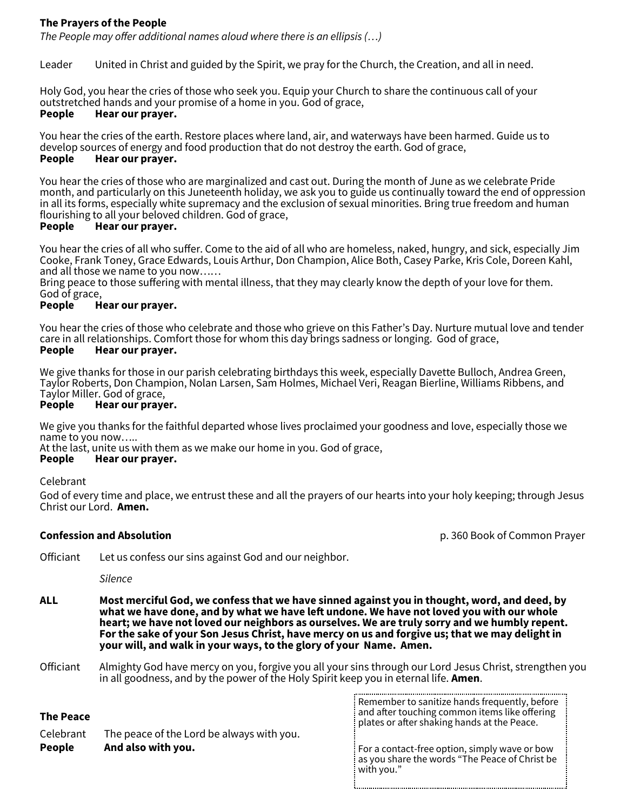## **The Prayers of the People**

*The People may offer additional names aloud where there is an ellipsis (…)*

Leader United in Christ and guided by the Spirit, we pray for the Church, the Creation, and all in need.

Holy God, you hear the cries of those who seek you. Equip your Church to share the continuous call of your outstretched hands and your promise of a home in you. God of grace,<br>**People Hear our prayer.** 

#### **Hear our prayer.**

You hear the cries of the earth. Restore places where land, air, and waterways have been harmed. Guide us to develop sources of energy and food production that do not destroy the earth. God of grace, **People Hear our prayer.**

You hear the cries of those who are marginalized and cast out. During the month of June as we celebrate Pride month, and particularly on this Juneteenth holiday, we ask you to guide us continually toward the end of oppression in all its forms, especially white supremacy and the exclusion of sexual minorities. Bring true freedom and human flourishing to all your beloved children. God of grace,

#### **People Hear our prayer.**

You hear the cries of all who suffer. Come to the aid of all who are homeless, naked, hungry, and sick, especially Jim Cooke, Frank Toney, Grace Edwards, Louis Arthur, Don Champion, Alice Both, Casey Parke, Kris Cole, Doreen Kahl, and all those we name to you now……

Bring peace to those suffering with mental illness, that they may clearly know the depth of your love for them. God of grace,<br>**People H** 

#### **People Hear our prayer.**

You hear the cries of those who celebrate and those who grieve on this Father's Day. Nurture mutual love and tender care in all relationships. Comfort those for whom this day brings sadness or longing. God of grace,<br>People Plear our prayer.

## **Hear our prayer.**

We give thanks for those in our parish celebrating birthdays this week, especially Davette Bulloch, Andrea Green, Taylor Roberts, Don Champion, Nolan Larsen, Sam Holmes, Michael Veri, Reagan Bierline, Williams Ribbens, and Taylor Miller. God of grace,

#### **People Hear our prayer.**

We give you thanks for the faithful departed whose lives proclaimed your goodness and love, especially those we name to you now…..

At the last, unite us with them as we make our home in you. God of grace,

#### **People Hear our prayer.**

#### Celebrant

God of every time and place, we entrust these and all the prayers of our hearts into your holy keeping; through Jesus Christ our Lord. **Amen.**

**Confession and Absolution** p. 360 Book of Common Prayer

Officiant Let us confess our sins against God and our neighbor.

*Silence*

- **ALL Most merciful God, we confess that we have sinned against you in thought, word, and deed, by what we have done, and by what we have left undone. We have not loved you with our whole heart; we have not loved our neighbors as ourselves. We are truly sorry and we humbly repent. For the sake of your Son Jesus Christ, have mercy on us and forgive us; that we may delight in your will, and walk in your ways, to the glory of your Name. Amen.**
- Officiant Almighty God have mercy on you, forgive you all your sins through our Lord Jesus Christ, strengthen you in all goodness, and by the power of the Holy Spirit keep you in eternal life. **Amen**.

#### **The Peace**

Celebrant The peace of the Lord be always with you. **People And also with you.**

Remember to sanitize hands frequently, before and after touching common items like offering plates or after shaking hands at the Peace.

For a contact-free option, simply wave or bow as you share the words "The Peace of Christ be with you."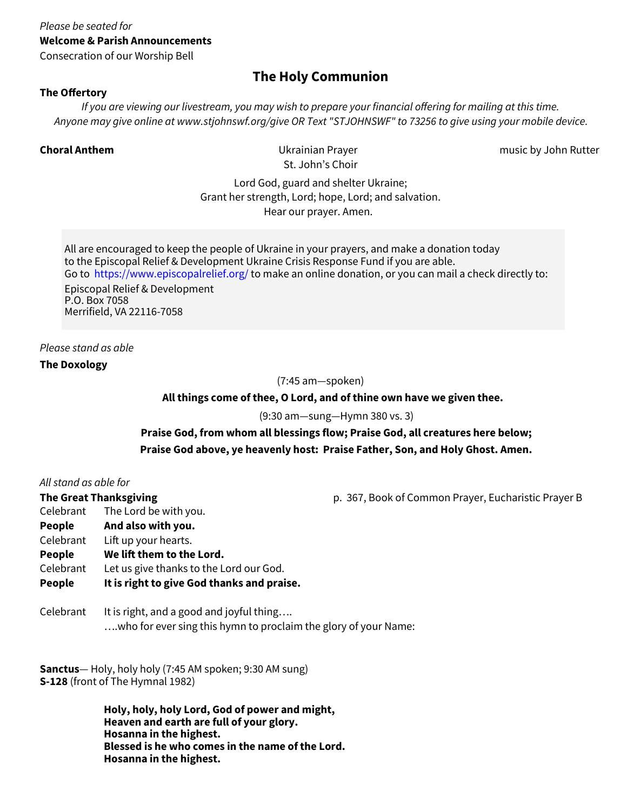# *Please be seated for* **Welcome & Parish Announcements**

Consecration of our Worship Bell

# **The Holy Communion**

## **The Offertory**

*If you are viewing our livestream, you may wish to prepare your financial offering for mailing at this time. Anyone may give online at www.stjohnswf.org/give OR Text "STJOHNSWF" to 73256 to give using your mobile device.*

St. John's Choir

**Choral Anthem Choral Anthem Choral Anthem** *Ukrainian Prayer* **1996** music by John Rutter

Lord God, guard and shelter Ukraine; Grant her strength, Lord; hope, Lord; and salvation. Hear our prayer. Amen.

All are encouraged to keep the people of Ukraine in your prayers, and make a donation today to the Episcopal Relief & Development Ukraine Crisis Response Fund if you are able. Go to https://www.episcopalrelief.org/ to make an online donation, or you can mail a check directly to:

Episcopal Relief & Development P.O. Box 7058 Merrifield, VA 22116-7058

*Please stand as able*

**The Doxology** 

(7:45 am—spoken)

### **All things come of thee, O Lord, and of thine own have we given thee.**

(9:30 am—sung—Hymn 380 vs. 3)

## **Praise God, from whom all blessings flow; Praise God, all creatures here below; Praise God above, ye heavenly host: Praise Father, Son, and Holy Ghost. Amen.**

*All stand as able for*

- 
- Celebrant The Lord be with you.
- **People And also with you.**
- Celebrant Lift up your hearts.
- **People We lift them to the Lord.**

Celebrant Let us give thanks to the Lord our God.

- **People It is right to give God thanks and praise.**
- Celebrant It is right, and a good and joyful thing.... ….who for ever sing this hymn to proclaim the glory of your Name:

**Sanctus**— Holy, holy holy (7:45 AM spoken; 9:30 AM sung) **S-128** (front of The Hymnal 1982)

> **Holy, holy, holy Lord, God of power and might, Heaven and earth are full of your glory. Hosanna in the highest. Blessed is he who comes in the name of the Lord. Hosanna in the highest.**

**The Great Thanksgiving <b>Properties Common Prayer, Eucharistic Prayer B** p. 367, Book of Common Prayer, Eucharistic Prayer B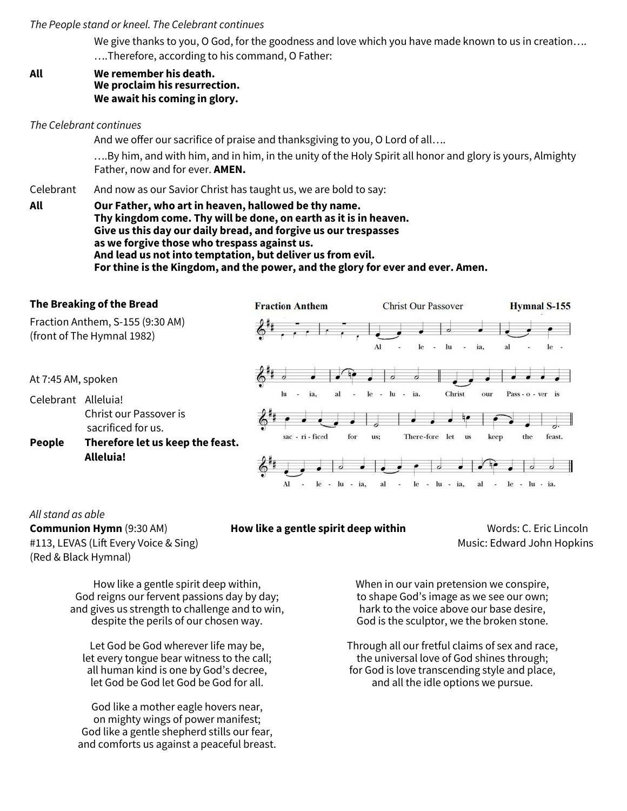### *The People stand or kneel. The Celebrant continues*

We give thanks to you, O God, for the goodness and love which you have made known to us in creation.... ….Therefore, according to his command, O Father:

### **All We remember his death. We proclaim his resurrection. We await his coming in glory.**

#### *The Celebrant continues*

And we offer our sacrifice of praise and thanksgiving to you, O Lord of all….

….By him, and with him, and in him, in the unity of the Holy Spirit all honor and glory is yours, Almighty Father, now and for ever. **AMEN.** 

Celebrant And now as our Savior Christ has taught us, we are bold to say:

**All Our Father, who art in heaven, hallowed be thy name. Thy kingdom come. Thy will be done, on earth as it is in heaven. Give us this day our daily bread, and forgive us our trespasses as we forgive those who trespass against us. And lead us not into temptation, but deliver us from evil. For thine is the Kingdom, and the power, and the glory for ever and ever. Amen.**



### *All stand as able*

**Communion Hymn** (9:30 AM) **How like a gentle spirit deep within Words: C. Eric Lincoln** (Red & Black Hymnal)

#113, LEVAS (Lift Every Voice & Sing) and the state of the Music: Edward John Hopkins

How like a gentle spirit deep within, God reigns our fervent passions day by day; and gives us strength to challenge and to win, despite the perils of our chosen way.

Let God be God wherever life may be, let every tongue bear witness to the call; all human kind is one by God's decree, let God be God let God be God for all.

God like a mother eagle hovers near, on mighty wings of power manifest; God like a gentle shepherd stills our fear, and comforts us against a peaceful breast. When in our vain pretension we conspire, to shape God's image as we see our own; hark to the voice above our base desire, God is the sculptor, we the broken stone.

Through all our fretful claims of sex and race, the universal love of God shines through; for God is love transcending style and place, and all the idle options we pursue.